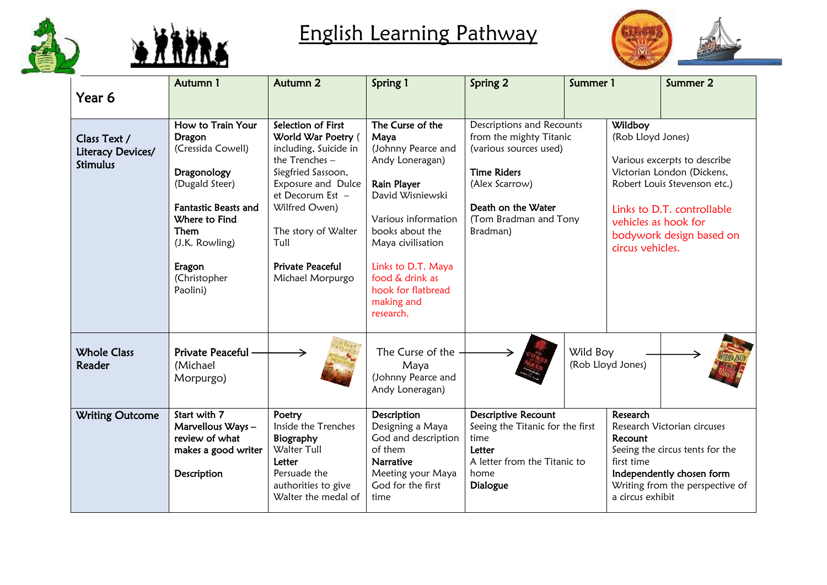



## English Learning Pathway



| Year 6                                               | Autumn 1                                                                                                                                                                                                 | Autumn <sub>2</sub>                                                                                                                                                                                                                                     | Spring 1                                                                                                                                                                                                                                                      | Spring 2                                                                                                                                                                          | Summer 1                                                                                                                                                                                |                                                                          | Summer 2                                                                                                                                             |
|------------------------------------------------------|----------------------------------------------------------------------------------------------------------------------------------------------------------------------------------------------------------|---------------------------------------------------------------------------------------------------------------------------------------------------------------------------------------------------------------------------------------------------------|---------------------------------------------------------------------------------------------------------------------------------------------------------------------------------------------------------------------------------------------------------------|-----------------------------------------------------------------------------------------------------------------------------------------------------------------------------------|-----------------------------------------------------------------------------------------------------------------------------------------------------------------------------------------|--------------------------------------------------------------------------|------------------------------------------------------------------------------------------------------------------------------------------------------|
|                                                      |                                                                                                                                                                                                          |                                                                                                                                                                                                                                                         |                                                                                                                                                                                                                                                               |                                                                                                                                                                                   |                                                                                                                                                                                         |                                                                          |                                                                                                                                                      |
| Class Text /<br>Literacy Devices/<br><b>Stimulus</b> | How to Train Your<br><b>Dragon</b><br>(Cressida Cowell)<br>Dragonology<br>(Dugald Steer)<br><b>Fantastic Beasts and</b><br>Where to Find<br>Them<br>(J.K. Rowling)<br>Eragon<br>(Christopher<br>Paolini) | Selection of First<br>World War Poetry (<br>including, Suicide in<br>the $T$ renches $-$<br>Siegfried Sassoon,<br>Exposure and Dulce<br>et Decorum Est -<br>Wilfred Owen)<br>The story of Walter<br>Tull<br><b>Private Peaceful</b><br>Michael Morpurgo | The Curse of the<br>Maya<br>(Johnny Pearce and<br>Andy Loneragan)<br>Rain Player<br>David Wisniewski<br>Various information<br>books about the<br>Maya civilisation<br>Links to D.T. Maya<br>food & drink as<br>hook for flatbread<br>making and<br>research. | Descriptions and Recounts<br>from the mighty Titanic<br>(various sources used)<br><b>Time Riders</b><br>(Alex Scarrow)<br>Death on the Water<br>(Tom Bradman and Tony<br>Bradman) |                                                                                                                                                                                         | Wildboy<br>(Rob Lloyd Jones)<br>vehicles as hook for<br>circus vehicles. | Various excerpts to describe<br>Victorian London (Dickens,<br>Robert Louis Stevenson etc.)<br>Links to D.T. controllable<br>bodywork design based on |
| <b>Whole Class</b><br>Reader                         | Private Peaceful -<br>(Michael<br>Morpurgo)                                                                                                                                                              |                                                                                                                                                                                                                                                         | The Curse of the<br>Maya<br>(Johnny Pearce and<br>Andy Loneragan)                                                                                                                                                                                             |                                                                                                                                                                                   | Wild Boy<br>(Rob Lloyd Jones)                                                                                                                                                           |                                                                          |                                                                                                                                                      |
| <b>Writing Outcome</b>                               | Start with 7<br>Marvellous Ways-<br>review of what<br>makes a good writer<br>Description                                                                                                                 | Poetry<br>Inside the Trenches<br>Biography<br>Walter Tull<br>Letter<br>Persuade the<br>authorities to give<br>Walter the medal of                                                                                                                       | Description<br>Designing a Maya<br>God and description<br>of them<br><b>Narrative</b><br>Meeting your Maya<br>God for the first<br>time                                                                                                                       | <b>Descriptive Recount</b><br>Seeing the Titanic for the first<br>time<br>Letter<br>A letter from the Titanic to<br>home<br><b>Dialogue</b>                                       | Research<br>Research Victorian circuses<br>Recount<br>Seeing the circus tents for the<br>first time<br>Independently chosen form<br>Writing from the perspective of<br>a circus exhibit |                                                                          |                                                                                                                                                      |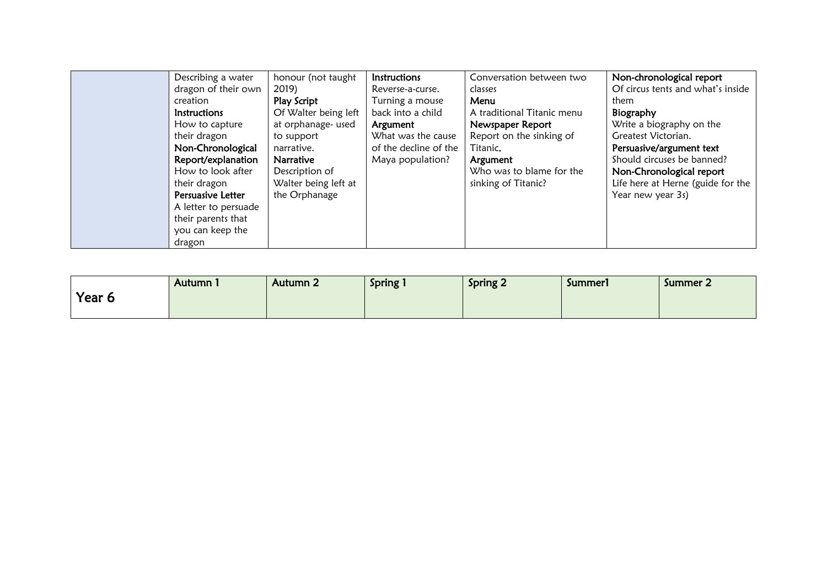| Describing a water   | honour (not taught   | <b>Instructions</b>   | Conversation between two   | Non-chronological report          |
|----------------------|----------------------|-----------------------|----------------------------|-----------------------------------|
| dragon of their own  | 2019)                | Reverse-a-curse.      | classes                    | Of circus tents and what's inside |
| creation             | Play Script          | Turning a mouse       | Menu                       | them                              |
| Instructions         | Of Walter being left | back into a child     | A traditional Titanic menu | Biography                         |
| How to capture       | at orphanage- used   | Argument              | Newspaper Report           | Write a biography on the          |
| their dragon         | to support           | What was the cause    | Report on the sinking of   | Greatest Victorian.               |
| Non-Chronological    | narrative.           | of the decline of the | Titanic.                   | Persuasive/argument text          |
| Report/explanation   | <b>Narrative</b>     | Maya population?      | Argument                   | Should circuses be banned?        |
| How to look after    | Description of       |                       | Who was to blame for the   | Non-Chronological report          |
| their dragon         | Walter being left at |                       | sinking of Titanic?        | Life here at Herne (guide for the |
| Persuasive Letter    | the Orphanage        |                       |                            | Year new year 3s)                 |
| A letter to persuade |                      |                       |                            |                                   |
| their parents that   |                      |                       |                            |                                   |
| you can keep the     |                      |                       |                            |                                   |
| dragon               |                      |                       |                            |                                   |

|        | Autumn. | Autumn 2 | <b>Spring</b> | <b>Spring 2</b> | Summerl | Summer 2 |
|--------|---------|----------|---------------|-----------------|---------|----------|
| Year 6 |         |          |               |                 |         |          |
|        |         |          |               |                 |         |          |